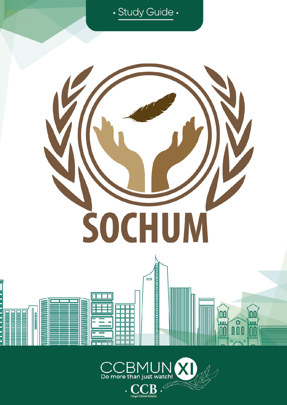



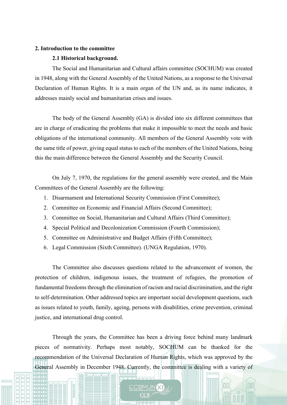## **2. Introduction to the committee**

#### **2.1 Historical background.**

The Social and Humanitarian and Cultural affairs committee (SOCHUM) was created in 1948, along with the General Assembly of the United Nations, as a response to the Universal Declaration of Human Rights. It is a main organ of the UN and, as its name indicates, it addresses mainly social and humanitarian crises and issues.

The body of the General Assembly (GA) is divided into six different committees that are in charge of eradicating the problems that make it impossible to meet the needs and basic obligations of the international community. All members of the General Assembly vote with the same title of power, giving equal status to each of the members of the United Nations, being this the main difference between the General Assembly and the Security Council.

On July 7, 1970, the regulations for the general assembly were created, and the Main Committees of the General Assembly are the following:

- 1. Disarmament and International Security Commission (First Committee);
- 2. Committee on Economic and Financial Affairs (Second Committee);
- 3. Committee on Social, Humanitarian and Cultural Affairs (Third Committee);
- 4. Special Political and Decolonization Commission (Fourth Commission);
- 5. Committee on Administrative and Budget Affairs (Fifth Committee);
- 6. Legal Commission (Sixth Committee). (UNGA Regulation, 1970).

The Committee also discusses questions related to the advancement of women, the protection of children, indigenous issues, the treatment of refugees, the promotion of fundamental freedoms through the elimination of racism and racial discrimination, and the right to self-determination. Other addressed topics are important social development questions, such as issues related to youth, family, ageing, persons with disabilities, crime prevention, criminal justice, and international drug control.

Through the years, the Committee has been a driving force behind many landmark pieces of normativity. Perhaps most notably, SOCHUM can be thanked for the recommendation of the Universal Declaration of Human Rights, which was approved by the General Assembly in December 1948. Currently, the committee is dealing with a variety of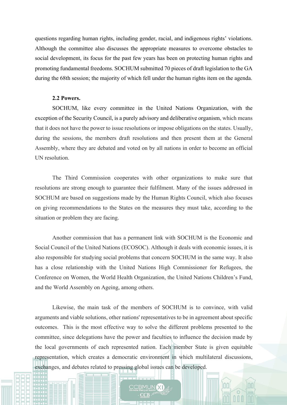questions regarding human rights, including gender, racial, and indigenous rights' violations. Although the committee also discusses the appropriate measures to overcome obstacles to social development, its focus for the past few years has been on protecting human rights and promoting fundamental freedoms. SOCHUM submitted 70 pieces of draft legislation to the GA during the 68th session; the majority of which fell under the human rights item on the agenda.

## **2.2 Powers.**

SOCHUM, like every committee in the United Nations Organization, with the exception of the Security Council, is a purely advisory and deliberative organism, which means that it does not have the power to issue resolutions or impose obligations on the states. Usually, during the sessions, the members draft resolutions and then present them at the General Assembly, where they are debated and voted on by all nations in order to become an official UN resolution.

The Third Commission cooperates with other organizations to make sure that resolutions are strong enough to guarantee their fulfilment. Many of the issues addressed in SOCHUM are based on suggestions made by the Human Rights Council, which also focuses on giving recommendations to the States on the measures they must take, according to the situation or problem they are facing.

Another commission that has a permanent link with SOCHUM is the Economic and Social Council of the United Nations (ECOSOC). Although it deals with economic issues, it is also responsible for studying social problems that concern SOCHUM in the same way. It also has a close relationship with the United Nations High Commissioner for Refugees, the Conference on Women, the World Health Organization, the United Nations Children's Fund, and the World Assembly on Ageing, among others.

Likewise, the main task of the members of SOCHUM is to convince, with valid arguments and viable solutions, other nations' representatives to be in agreement about specific outcomes. This is the most effective way to solve the different problems presented to the committee, since delegations have the power and faculties to influence the decision made by the local governments of each represented nation. Each member State is given equitable representation, which creates a democratic environment in which multilateral discussions, exchanges, and debates related to pressing global issues can be developed.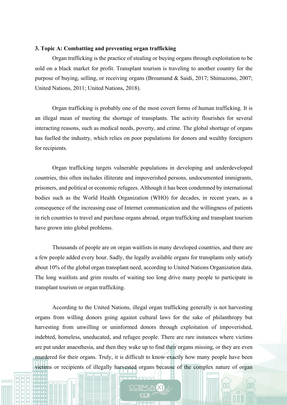# **3. Topic A: Combatting and preventing organ trafficking**

Organ trafficking is the practice of stealing or buying organs through exploitation to be sold on a black market for profit. Transplant tourism is traveling to another country for the purpose of buying, selling, or receiving organs (Broumand & Saidi, 2017; Shimazono, 2007; United Nations, 2011; United Nations, 2018).

Organ trafficking is probably one of the most covert forms of human trafficking. It is an illegal mean of meeting the shortage of transplants. The activity flourishes for several interacting reasons, such as medical needs, poverty, and crime. The global shortage of organs has fuelled the industry, which relies on poor populations for donors and wealthy foreigners for recipients.

Organ trafficking targets vulnerable populations in developing and underdeveloped countries, this often includes illiterate and impoverished persons, undocumented immigrants, prisoners, and political or economic refugees. Although it has been condemned by international bodies such as the World Health Organization (WHO) for decades, in recent years, as a consequence of the increasing ease of Internet communication and the willingness of patients in rich countries to travel and purchase organs abroad, organ trafficking and transplant tourism have grown into global problems.

Thousands of people are on organ waitlists in many developed countries, and there are a few people added every hour. Sadly, the legally available organs for transplants only satisfy about 10% of the global organ transplant need, according to United Nations Organization data. The long waitlists and grim results of waiting too long drive many people to participate in transplant tourism or organ trafficking.

According to the United Nations, illegal organ trafficking generally is not harvesting organs from willing donors going against cultural laws for the sake of philanthropy but harvesting from unwilling or uninformed donors through exploitation of impoverished, indebted, homeless, uneducated, and refugee people. There are rare instances where victims are put under anaesthesia, and then they wake up to find their organs missing, or they are even murdered for their organs. Truly, it is difficult to know exactly how many people have been victims or recipients of illegally harvested organs because of the complex nature of organ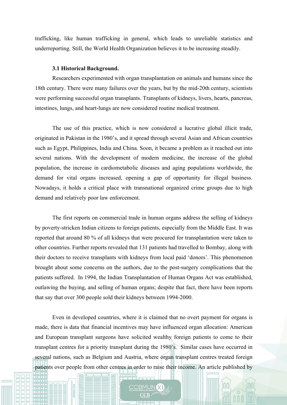trafficking, like human trafficking in general, which leads to unreliable statistics and underreporting. Still, the World Health Organization believes it to be increasing steadily.

## **3.1 Historical Background.**

Researchers experimented with organ transplantation on animals and humans since the 18th century. There were many failures over the years, but by the mid-20th century, scientists were performing successful organ transplants. Transplants of kidneys, livers, hearts, pancreas, intestines, lungs, and heart-lungs are now considered routine medical treatment.

The use of this practice, which is now considered a lucrative global illicit trade, originated in Pakistan in the 1980's, and it spread through several Asian and African countries such as Egypt, Philippines, India and China. Soon, it became a problem as it reached out into several nations. With the development of modern medicine, the increase of the global population, the increase in cardiometabolic diseases and aging populations worldwide, the demand for vital organs increased, opening a gap of opportunity for illegal business. Nowadays, it holds a critical place with transnational organized crime groups due to high demand and relatively poor law enforcement.

The first reports on commercial trade in human organs address the selling of kidneys by poverty-stricken Indian citizens to foreign patients, especially from the Middle East. It was reported that around 80 % of all kidneys that were procured for transplantation were taken to other countries. Further reports revealed that 131 patients had travelled to Bombay, along with their doctors to receive transplants with kidneys from local paid 'donors'. This phenomenon brought about some concerns on the authors, due to the post-surgery complications that the patients suffered. In 1994, the Indian Transplantation of Human Organs Act was established, outlawing the buying, and selling of human organs; despite that fact, there have been reports that say that over 300 people sold their kidneys between 1994-2000.

Even in developed countries, where it is claimed that no overt payment for organs is made, there is data that financial incentives may have influenced organ allocation: American and European transplant surgeons have solicited wealthy foreign patients to come to their transplant centres for a priority transplant during the 1980´s. Similar cases have occurred in several nations, such as Belgium and Austria, where organ transplant centres treated foreign patients over people from other centres in order to raise their income. An article published by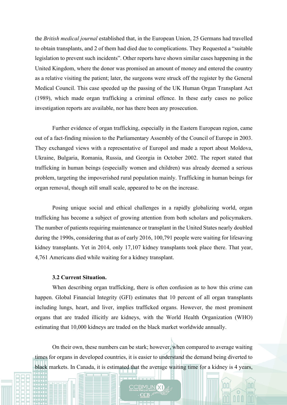the *British medical journal* established that, in the European Union, 25 Germans had travelled to obtain transplants, and 2 of them had died due to complications. They Requested a "suitable legislation to prevent such incidents". Other reports have shown similar cases happening in the United Kingdom, where the donor was promised an amount of money and entered the country as a relative visiting the patient; later, the surgeons were struck off the register by the General Medical Council. This case speeded up the passing of the UK Human Organ Transplant Act (1989), which made organ trafficking a criminal offence. In these early cases no police investigation reports are available, nor has there been any prosecution.

Further evidence of organ trafficking, especially in the Eastern European region, came out of a fact-finding mission to the Parliamentary Assembly of the Council of Europe in 2003. They exchanged views with a representative of Europol and made a report about Moldova, Ukraine, Bulgaria, Romania, Russia, and Georgia in October 2002. The report stated that trafficking in human beings (especially women and children) was already deemed a serious problem, targeting the impoverished rural population mainly. Trafficking in human beings for organ removal, though still small scale, appeared to be on the increase.

Posing unique social and ethical challenges in a rapidly globalizing world, organ trafficking has become a subject of growing attention from both scholars and policymakers. The number of patients requiring maintenance or transplant in the United States nearly doubled during the 1990s, considering that as of early 2016, 100,791 people were waiting for lifesaving kidney transplants. Yet in 2014, only 17,107 kidney transplants took place there. That year, 4,761 Americans died while waiting for a kidney transplant.

#### **3.2 Current Situation.**

When describing organ trafficking, there is often confusion as to how this crime can happen. Global Financial Integrity (GFI) estimates that 10 percent of all organ transplants including lungs, heart, and liver, implies trafficked organs. However, the most prominent organs that are traded illicitly are kidneys, with the World Health Organization (WHO) estimating that 10,000 kidneys are traded on the black market worldwide annually.

On their own, these numbers can be stark; however, when compared to average waiting times for organs in developed countries, it is easier to understand the demand being diverted to black markets. In Canada, it is estimated that the average waiting time for a kidney is 4 years,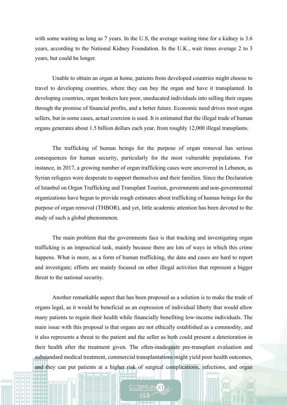with some waiting as long as 7 years. In the U.S, the average waiting time for a kidney is 3.6 years, according to the National Kidney Foundation. In the U.K., wait times average 2 to 3 years, but could be longer.

Unable to obtain an organ at home, patients from developed countries might choose to travel to developing countries, where they can buy the organ and have it transplanted. In developing countries, organ brokers lure poor, uneducated individuals into selling their organs through the promise of financial profits, and a better future. Economic need drives most organ sellers, but in some cases, actual coercion is used. It is estimated that the illegal trade of human organs generates about 1.5 billion dollars each year, from roughly 12,000 illegal transplants.

The trafficking of human beings for the purpose of organ removal has serious consequences for human security, particularly for the most vulnerable populations. For instance, in 2017, a growing number of organ trafficking cases were uncovered in Lebanon, as Syrian refugees were desperate to support themselves and their families. Since the Declaration of Istanbul on Organ Trafficking and Transplant Tourism, governments and non-governmental organizations have begun to provide rough estimates about trafficking of human beings for the purpose of organ removal (THBOR), and yet, little academic attention has been devoted to the study of such a global phenomenon.

The main problem that the governments face is that tracking and investigating organ trafficking is an impractical task, mainly because there are lots of ways in which this crime happens. What is more, as a form of human trafficking, the data and cases are hard to report and investigate; efforts are mainly focused on other illegal activities that represent a bigger threat to the national security.

Another remarkable aspect that has been proposed as a solution is to make the trade of organs legal, as it would be beneficial as an expression of individual liberty that would allow many patients to regain their health while financially benefiting low-income individuals. The main issue with this proposal is that organs are not ethically established as a commodity, and it also represents a threat to the patient and the seller as both could present a deterioration in their health after the treatment given. The often-inadequate pre-transplant evaluation and substandard medical treatment, commercial transplantations might yield poor health outcomes, and they can put patients at a higher risk of surgical complications, infections, and organ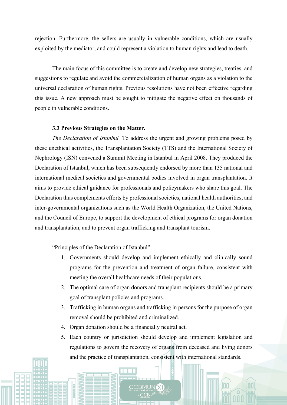rejection. Furthermore, the sellers are usually in vulnerable conditions, which are usually exploited by the mediator, and could represent a violation to human rights and lead to death.

The main focus of this committee is to create and develop new strategies, treaties, and suggestions to regulate and avoid the commercialization of human organs as a violation to the universal declaration of human rights. Previous resolutions have not been effective regarding this issue. A new approach must be sought to mitigate the negative effect on thousands of people in vulnerable conditions.

# **3.3 Previous Strategies on the Matter.**

*The Declaration of Istanbul.* To address the urgent and growing problems posed by these unethical activities, the Transplantation Society (TTS) and the International Society of Nephrology (ISN) convened a Summit Meeting in Istanbul in April 2008. They produced the Declaration of Istanbul, which has been subsequently endorsed by more than 135 national and international medical societies and governmental bodies involved in organ transplantation. It aims to provide ethical guidance for professionals and policymakers who share this goal. The Declaration thus complements efforts by professional societies, national health authorities, and inter-governmental organizations such as the World Health Organization, the United Nations, and the Council of Europe, to support the development of ethical programs for organ donation and transplantation, and to prevent organ trafficking and transplant tourism.

"Principles of the Declaration of Istanbul"

- 1. Governments should develop and implement ethically and clinically sound programs for the prevention and treatment of organ failure, consistent with meeting the overall healthcare needs of their populations.
- 2. The optimal care of organ donors and transplant recipients should be a primary goal of transplant policies and programs.
- 3. Trafficking in human organs and trafficking in persons for the purpose of organ removal should be prohibited and criminalized.
- 4. Organ donation should be a financially neutral act.
- 5. Each country or jurisdiction should develop and implement legislation and regulations to govern the recovery of organs from deceased and living donors and the practice of transplantation, consistent with international standards.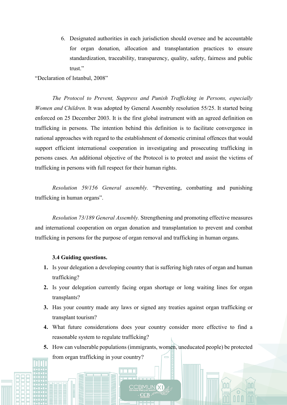6. Designated authorities in each jurisdiction should oversee and be accountable for organ donation, allocation and transplantation practices to ensure standardization, traceability, transparency, quality, safety, fairness and public trust."

"Declaration of Istanbul, 2008"

*The Protocol to Prevent, Suppress and Punish Trafficking in Persons, especially Women and Children.* It was adopted by General Assembly resolution 55/25. It started being enforced on 25 December 2003. It is the first global instrument with an agreed definition on trafficking in persons. The intention behind this definition is to facilitate convergence in national approaches with regard to the establishment of domestic criminal offences that would support efficient international cooperation in investigating and prosecuting trafficking in persons cases. An additional objective of the Protocol is to protect and assist the victims of trafficking in persons with full respect for their human rights.

*Resolution 59/156 General assembly.* "Preventing, combatting and punishing trafficking in human organs".

*Resolution 73/189 General Assembly.* Strengthening and promoting effective measures and international cooperation on organ donation and transplantation to prevent and combat trafficking in persons for the purpose of organ removal and trafficking in human organs.

## **3.4 Guiding questions.**

- **1.** Is your delegation a developing country that is suffering high rates of organ and human trafficking?
- **2.** Is your delegation currently facing organ shortage or long waiting lines for organ transplants?
- **3.** Has your country made any laws or signed any treaties against organ trafficking or transplant tourism?
- **4.** What future considerations does your country consider more effective to find a reasonable system to regulate trafficking?
- **5.** How can vulnerable populations (immigrants, women, uneducated people) be protected from organ trafficking in your country?  $\equiv$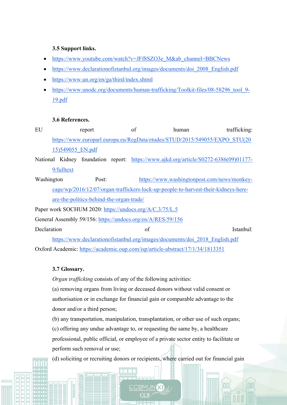# **3.5 Support links.**

- https://www.youtube.com/watch?v=JFf8SZO3e\_M&ab\_channel=BBCNews
- https://www.declarationofistanbul.org/images/documents/doi\_2008\_English.pdf
- https://www.un.org/en/ga/third/index.shtml
- https://www.unodc.org/documents/human-trafficking/Toolkit-files/08-58296\_tool\_9- 19.pdf

# **3.6 References.**

- EU report of human trafficking: https://www.europarl.europa.eu/RegData/etudes/STUD/2015/549055/EXPO\_STU(20 15)549055\_EN.pdf
- National Kidney foundation report: https://www.ajkd.org/article/S0272-6386(09)01177-9/fulltext
- Washington Post: https://www.washingtonpost.com/news/monkeycage/wp/2016/12/07/organ-traffickers-lock-up-people-to-harvest-their-kidneys-hereare-the-politics-behind-the-organ-trade/
- Paper work SOCHUM 2020: https://undocs.org/A/C.3/75/L.5
- General Assembly 59/156: https://undocs.org/en/A/RES/59/156

Declaration of Istanbul:

https://www.declarationofistanbul.org/images/documents/doi\_2018\_English.pdf Oxford Academic: https://academic.oup.com/isp/article-abstract/17/1/34/1813351

# **3.7 Glossary.**

*Organ trafficking* consists of any of the following activities:

(a) removing organs from living or deceased donors without valid consent or authorisation or in exchange for financial gain or comparable advantage to the donor and/or a third person;

(b) any transportation, manipulation, transplantation, or other use of such organs; (c) offering any undue advantage to, or requesting the same by, a healthcare professional, public official, or employee of a private sector entity to facilitate or perform such removal or use;

(d) soliciting or recruiting donors or recipients, where carried out for financial gain